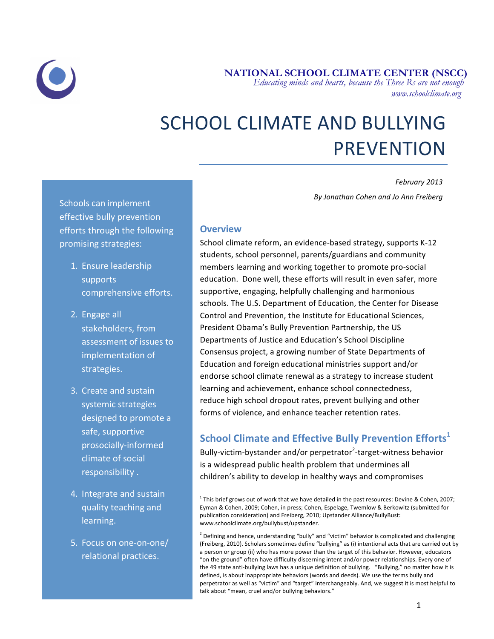

 **NATIONAL SCHOOL CLIMATE CENTER (NSCC)**  *Educating minds and hearts, because the Three Rs are not enough www.schoolclimate.org*

# SCHOOL CLIMATE AND BULLYING PREVENTION

*February 2013 By Jonathan Cohen and Jo Ann Freiberg*

Schools can implement effective bully prevention efforts through the following promising strategies:

- 1. Ensure leadership supports comprehensive efforts.
- 2. Engage all stakeholders, from assessment of issues to implementation of strategies.
- 3. Create and sustain systemic strategies designed to promote a safe, supportive prosocially-informed climate of social responsibility .
- 4. Integrate and sustain quality teaching and learning.
- 5. Focus on one-on-one/ relational practices.

#### **Overview**

School climate reform, an evidence-based strategy, supports K-12 students, school personnel, parents/guardians and community members learning and working together to promote pro-social education. Done well, these efforts will result in even safer, more supportive, engaging, helpfully challenging and harmonious schools. The U.S. Department of Education, the Center for Disease Control and Prevention, the Institute for Educational Sciences, President Obama's Bully Prevention Partnership, the US Departments of Justice and Education's School Discipline Consensus project, a growing number of State Departments of Education and foreign educational ministries support and/or endorse school climate renewal as a strategy to increase student learning and achievement, enhance school connectedness, reduce high school dropout rates, prevent bullying and other forms of violence, and enhance teacher retention rates.

## **School Climate and Effective Bully Prevention Efforts**<sup>1</sup>

Bully-victim-bystander and/or perpetrator<sup>2</sup>-target-witness behavior is a widespread public health problem that undermines all children's ability to develop in healthy ways and compromises

 $^1$  This brief grows out of work that we have detailed in the past resources: Devine & Cohen, 2007; Eyman & Cohen, 2009; Cohen, in press; Cohen, Espelage, Twemlow & Berkowitz (submitted for publication consideration) and Freiberg, 2010; Upstander Alliance/BullyBust: www.schoolclimate.org/bullybust/upstander.

 $2$  Defining and hence, understanding "bully" and "victim" behavior is complicated and challenging (Freiberg, 2010). Scholars sometimes define "bullying" as (i) intentional acts that are carried out by a person or group (ii) who has more power than the target of this behavior. However, educators "on the ground" often have difficulty discerning intent and/or power relationships. Every one of the 49 state anti-bullying laws has a unique definition of bullying. "Bullying," no matter how it is defined, is about inappropriate behaviors (words and deeds). We use the terms bully and perpetrator as well as "victim" and "target" interchangeably. And, we suggest it is most helpful to talk about "mean, cruel and/or bullying behaviors."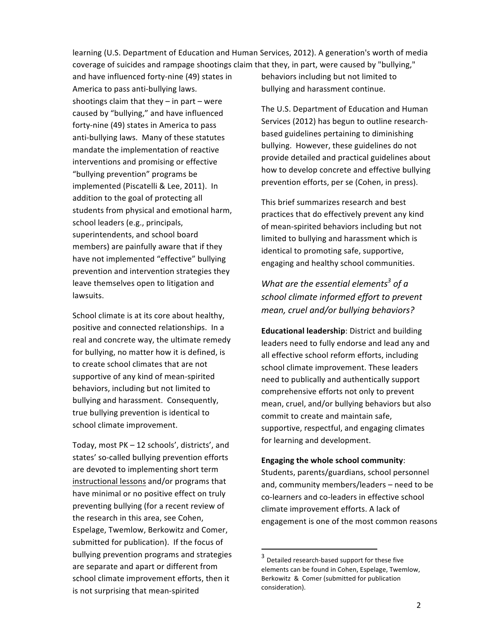learning (U.S. Department of Education and Human Services, 2012). A generation's worth of media coverage of suicides and rampage shootings claim that they, in part, were caused by "bullying,"

and have influenced forty-nine (49) states in America to pass anti-bullying laws. shootings claim that they  $-$  in part  $-$  were caused by "bullying," and have influenced forty-nine (49) states in America to pass anti-bullying laws. Many of these statutes mandate the implementation of reactive interventions and promising or effective "bullying prevention" programs be implemented (Piscatelli & Lee, 2011). In addition to the goal of protecting all students from physical and emotional harm, school leaders (e.g., principals, superintendents, and school board members) are painfully aware that if they have not implemented "effective" bullying prevention and intervention strategies they leave themselves open to litigation and lawsuits.

School climate is at its core about healthy, positive and connected relationships. In a real and concrete way, the ultimate remedy for bullying, no matter how it is defined, is to create school climates that are not supportive of any kind of mean-spirited behaviors, including but not limited to bullying and harassment. Consequently, true bullying prevention is identical to school climate improvement.

Today, most PK - 12 schools', districts', and states' so-called bullying prevention efforts are devoted to implementing short term instructional lessons and/or programs that have minimal or no positive effect on truly preventing bullying (for a recent review of the research in this area, see Cohen, Espelage, Twemlow, Berkowitz and Comer, submitted for publication). If the focus of bullying prevention programs and strategies are separate and apart or different from school climate improvement efforts, then it is not surprising that mean-spirited

behaviors including but not limited to bullying and harassment continue.

The U.S. Department of Education and Human Services (2012) has begun to outline researchbased guidelines pertaining to diminishing bullying. However, these guidelines do not provide detailed and practical guidelines about how to develop concrete and effective bullying prevention efforts, per se (Cohen, in press).

This brief summarizes research and best practices that do effectively prevent any kind of mean-spirited behaviors including but not limited to bullying and harassment which is identical to promoting safe, supportive, engaging and healthy school communities.

*What are the essential elements<sup>3</sup> of a* school climate informed effort to prevent *mean, cruel and/or bullying behaviors?*

**Educational leadership:** District and building leaders need to fully endorse and lead any and all effective school reform efforts, including school climate improvement. These leaders need to publically and authentically support comprehensive efforts not only to prevent mean, cruel, and/or bullying behaviors but also commit to create and maintain safe, supportive, respectful, and engaging climates for learning and development.

#### **Engaging the whole school community:**

Students, parents/guardians, school personnel and, community members/leaders – need to be co-learners and co-leaders in effective school climate improvement efforts. A lack of engagement is one of the most common reasons

<u> 1989 - Johann Stein, markin film yn y breninn y breninn y breninn y breninn y breninn y breninn y breninn y b</u>

 $3$  Detailed research-based support for these five elements can be found in Cohen, Espelage, Twemlow, Berkowitz & Comer (submitted for publication consideration).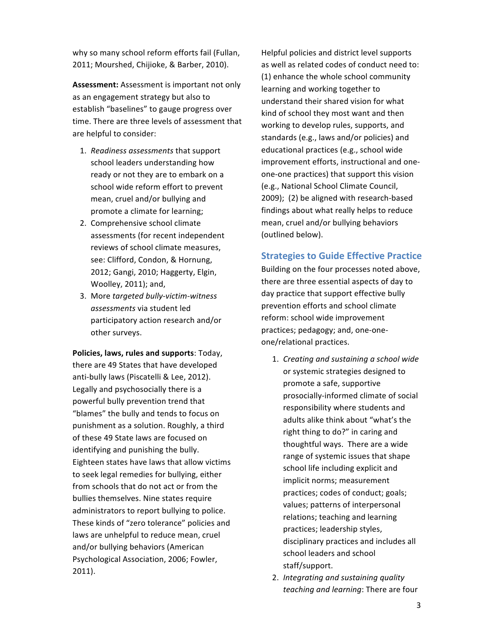why so many school reform efforts fail (Fullan, 2011; Mourshed, Chijioke, & Barber, 2010).

**Assessment:** Assessment is important not only as an engagement strategy but also to establish "baselines" to gauge progress over time. There are three levels of assessment that are helpful to consider:

- 1. *Readiness assessments* that support school leaders understanding how ready or not they are to embark on a school wide reform effort to prevent mean, cruel and/or bullying and promote a climate for learning;
- 2. Comprehensive school climate assessments (for recent independent reviews of school climate measures, see: Clifford, Condon, & Hornung, 2012; Gangi, 2010; Haggerty, Elgin, Woolley, 2011); and,
- 3. More targeted bully-victim-witness *assessments* via student led participatory action research and/or other surveys.

**Policies, laws, rules and supports: Today,** there are 49 States that have developed anti-bully laws (Piscatelli & Lee, 2012). Legally and psychosocially there is a powerful bully prevention trend that "blames" the bully and tends to focus on punishment as a solution. Roughly, a third of these 49 State laws are focused on identifying and punishing the bully. Eighteen states have laws that allow victims to seek legal remedies for bullying, either from schools that do not act or from the bullies themselves. Nine states require administrators to report bullying to police. These kinds of "zero tolerance" policies and laws are unhelpful to reduce mean, cruel and/or bullying behaviors (American Psychological Association, 2006; Fowler, 2011).

Helpful policies and district level supports as well as related codes of conduct need to: (1) enhance the whole school community learning and working together to understand their shared vision for what kind of school they most want and then working to develop rules, supports, and standards (e.g., laws and/or policies) and educational practices (e.g., school wide improvement efforts, instructional and oneone-one practices) that support this vision (e.g., National School Climate Council, 2009); (2) be aligned with research-based findings about what really helps to reduce mean, cruel and/or bullying behaviors (outlined below).

### **Strategies to Guide Effective Practice**

Building on the four processes noted above, there are three essential aspects of day to day practice that support effective bully prevention efforts and school climate reform: school wide improvement practices; pedagogy; and, one-oneone/relational practices.

- 1. *Creating and sustaining a school wide* or systemic strategies designed to promote a safe, supportive prosocially-informed climate of social responsibility where students and adults alike think about "what's the right thing to do?" in caring and thoughtful ways. There are a wide range of systemic issues that shape school life including explicit and implicit norms; measurement practices; codes of conduct; goals; values; patterns of interpersonal relations; teaching and learning practices; leadership styles, disciplinary practices and includes all school leaders and school staff/support.
- 2. *Integrating and sustaining quality teaching and learning*: There are four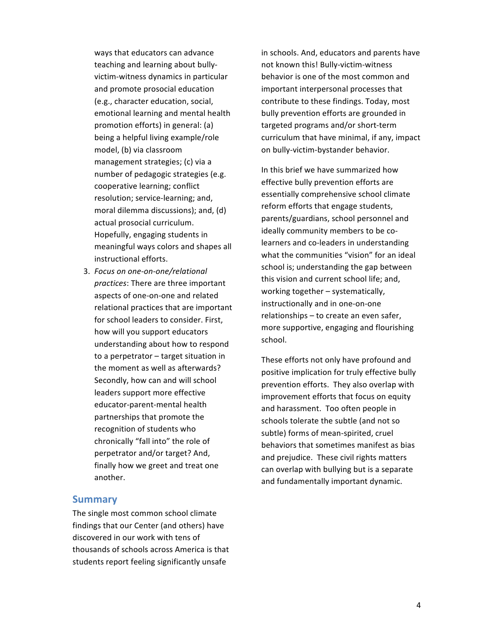ways that educators can advance teaching and learning about bullyvictim-witness dynamics in particular and promote prosocial education (e.g., character education, social, emotional learning and mental health promotion efforts) in general: (a) being a helpful living example/role model, (b) via classroom management strategies; (c) via a number of pedagogic strategies (e.g. cooperative learning; conflict resolution; service-learning; and, moral dilemma discussions); and, (d) actual prosocial curriculum. Hopefully, engaging students in meaningful ways colors and shapes all instructional efforts.

3. Focus on one-on-one/relational practices: There are three important aspects of one-on-one and related relational practices that are important for school leaders to consider. First, how will you support educators understanding about how to respond to a perpetrator  $-$  target situation in the moment as well as afterwards? Secondly, how can and will school leaders support more effective educator-parent-mental health partnerships that promote the recognition of students who chronically "fall into" the role of perpetrator and/or target? And, finally how we greet and treat one another. 

#### **Summary**

The single most common school climate findings that our Center (and others) have discovered in our work with tens of thousands of schools across America is that students report feeling significantly unsafe

in schools. And, educators and parents have not known this! Bully-victim-witness behavior is one of the most common and important interpersonal processes that contribute to these findings. Today, most bully prevention efforts are grounded in targeted programs and/or short-term curriculum that have minimal, if any, impact on bully-victim-bystander behavior.

In this brief we have summarized how effective bully prevention efforts are essentially comprehensive school climate reform efforts that engage students, parents/guardians, school personnel and ideally community members to be colearners and co-leaders in understanding what the communities "vision" for an ideal school is; understanding the gap between this vision and current school life; and, working together  $-$  systematically, instructionally and in one-on-one  $relationships - to create an even safer,$ more supportive, engaging and flourishing school.

These efforts not only have profound and positive implication for truly effective bully prevention efforts. They also overlap with improvement efforts that focus on equity and harassment. Too often people in schools tolerate the subtle (and not so subtle) forms of mean-spirited, cruel behaviors that sometimes manifest as bias and prejudice. These civil rights matters can overlap with bullying but is a separate and fundamentally important dynamic.